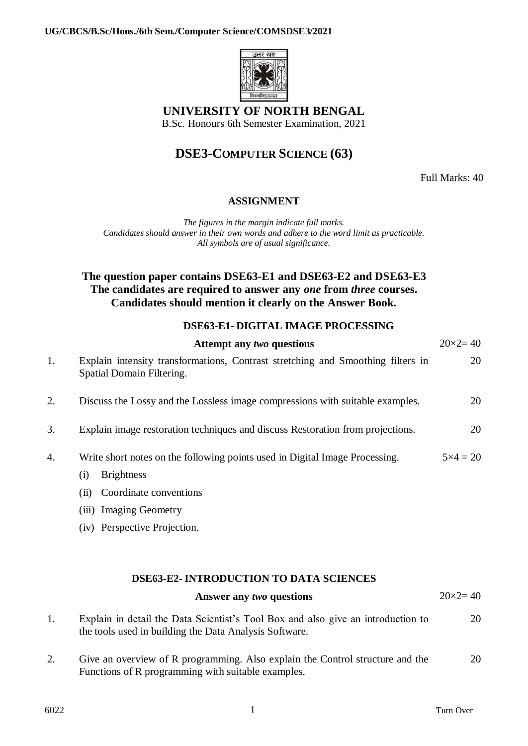

**UNIVERSITY OF NORTH BENGAL**

B.Sc. Honours 6th Semester Examination, 2021

## **DSE3-COMPUTER SCIENCE (63)**

Full Marks: 40

### **ASSIGNMENT**

*The figures in the margin indicate full marks. Candidates should answer in their own words and adhere to the word limit as practicable. All symbols are of usual significance.*

## **The question paper contains DSE63-E1 and DSE63-E2 and DSE63-E3 The candidates are required to answer any** *one* **from** *three* **courses. Candidates should mention it clearly on the Answer Book.**

#### **DSE63-E1- DIGITAL IMAGE PROCESSING**

|    | Attempt any two questions                                                                                    | $20 \times 2 = 40$ |
|----|--------------------------------------------------------------------------------------------------------------|--------------------|
| 1. | Explain intensity transformations, Contrast stretching and Smoothing filters in<br>Spatial Domain Filtering. | 20                 |
| 2. | Discuss the Lossy and the Lossless image compressions with suitable examples.                                | 20                 |
| 3. | Explain image restoration techniques and discuss Restoration from projections.                               | 20                 |
| 4. | Write short notes on the following points used in Digital Image Processing.                                  | $5 \times 4 = 20$  |
|    | <b>Brightness</b><br>(i)                                                                                     |                    |
|    | Coordinate conventions<br>(11)                                                                               |                    |
|    | (iii) Imaging Geometry                                                                                       |                    |
|    | (iv) Perspective Projection.                                                                                 |                    |

# **DSE63-E2- INTRODUCTION TO DATA SCIENCES Answer any** *two* **questions** 20×2= 40

1. Explain in detail the Data Scientist's Tool Box and also give an introduction to the tools used in building the Data Analysis Software. 20

2. Give an overview of R programming. Also explain the Control structure and the Functions of R programming with suitable examples. 20